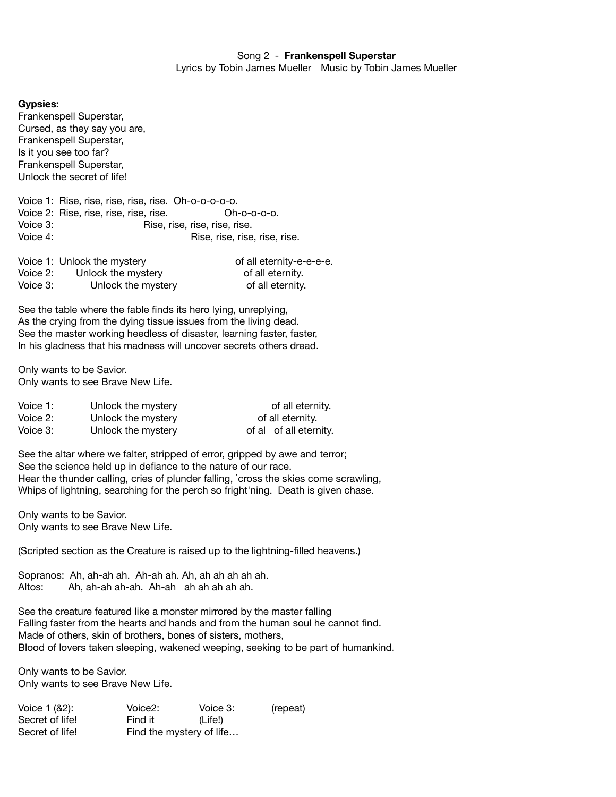## **Gypsies:**

Frankenspell Superstar, Cursed, as they say you are, Frankenspell Superstar, Is it you see too far? Frankenspell Superstar, Unlock the secret of life!

Voice 1: Rise, rise, rise, rise, rise. Oh-o-o-o-o-o. Voice 2: Rise, rise, rise, rise, rise. Oh-o-o-o-o. Voice 3: The Rise, rise, rise, rise, rise. Voice 4: The Matter of the Rise, rise, rise, rise, rise.

|          | Voice 1: Unlock the mystery | of all eternity-e-e-e-e. |
|----------|-----------------------------|--------------------------|
| Voice 2: | Unlock the mystery          | of all eternity.         |
| Voice 3: | Unlock the mystery          | of all eternity.         |

See the table where the fable finds its hero lying, unreplying, As the crying from the dying tissue issues from the living dead. See the master working heedless of disaster, learning faster, faster, In his gladness that his madness will uncover secrets others dread.

Only wants to be Savior. Only wants to see Brave New Life.

| Voice 1: | Unlock the mystery | of all eternity.       |
|----------|--------------------|------------------------|
| Voice 2: | Unlock the mystery | of all eternity.       |
| Voice 3: | Unlock the mystery | of al of all eternity. |

See the altar where we falter, stripped of error, gripped by awe and terror; See the science held up in defiance to the nature of our race. Hear the thunder calling, cries of plunder falling, `cross the skies come scrawling, Whips of lightning, searching for the perch so fright'ning. Death is given chase.

Only wants to be Savior. Only wants to see Brave New Life.

(Scripted section as the Creature is raised up to the lightning-filled heavens.)

Sopranos: Ah, ah-ah ah. Ah-ah ah. Ah, ah ah ah ah ah. Altos: Ah, ah-ah ah-ah. Ah-ah ah ah ah ah ah.

See the creature featured like a monster mirrored by the master falling Falling faster from the hearts and hands and from the human soul he cannot find. Made of others, skin of brothers, bones of sisters, mothers, Blood of lovers taken sleeping, wakened weeping, seeking to be part of humankind.

Only wants to be Savior. Only wants to see Brave New Life.

| Voice 1 (&2):   | Voice2:                  | Voice 3: | (repeat) |
|-----------------|--------------------------|----------|----------|
| Secret of life! | Find it                  | (Life!)  |          |
| Secret of life! | Find the mystery of life |          |          |